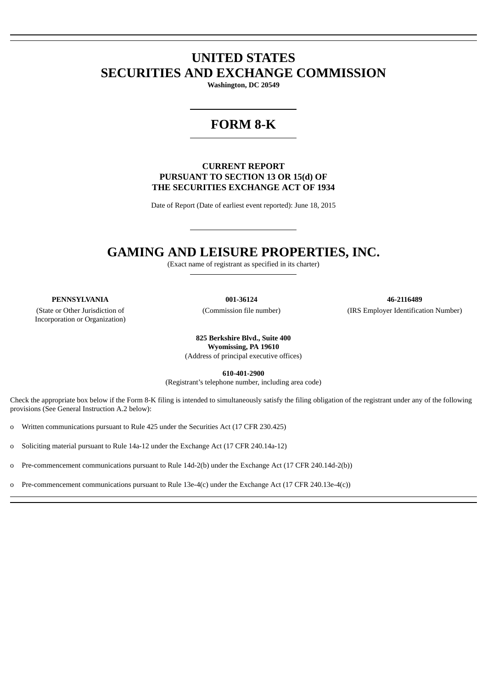# **UNITED STATES SECURITIES AND EXCHANGE COMMISSION**

**Washington, DC 20549**

# **FORM 8-K**

# **CURRENT REPORT PURSUANT TO SECTION 13 OR 15(d) OF THE SECURITIES EXCHANGE ACT OF 1934**

Date of Report (Date of earliest event reported): June 18, 2015

# **GAMING AND LEISURE PROPERTIES, INC.**

(Exact name of registrant as specified in its charter)

(State or Other Jurisdiction of Incorporation or Organization)

**PENNSYLVANIA 001-36124 46-2116489** (Commission file number) (IRS Employer Identification Number)

> **825 Berkshire Blvd., Suite 400 Wyomissing, PA 19610** (Address of principal executive offices)

> > **610-401-2900**

(Registrant's telephone number, including area code)

Check the appropriate box below if the Form 8-K filing is intended to simultaneously satisfy the filing obligation of the registrant under any of the following provisions (See General Instruction A.2 below):

o Written communications pursuant to Rule 425 under the Securities Act (17 CFR 230.425)

o Soliciting material pursuant to Rule 14a-12 under the Exchange Act (17 CFR 240.14a-12)

o Pre-commencement communications pursuant to Rule 14d-2(b) under the Exchange Act (17 CFR 240.14d-2(b))

o Pre-commencement communications pursuant to Rule 13e-4(c) under the Exchange Act (17 CFR 240.13e-4(c))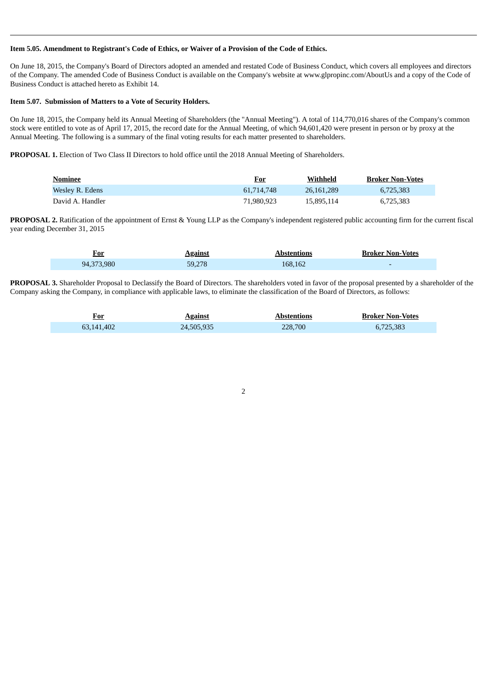#### Item 5.05. Amendment to Registrant's Code of Ethics, or Waiver of a Provision of the Code of Ethics.

On June 18, 2015, the Company's Board of Directors adopted an amended and restated Code of Business Conduct, which covers all employees and directors of the Company. The amended Code of Business Conduct is available on the Company's website at www.glpropinc.com/AboutUs and a copy of the Code of Business Conduct is attached hereto as Exhibit 14.

#### **Item 5.07. Submission of Matters to a Vote of Security Holders.**

On June 18, 2015, the Company held its Annual Meeting of Shareholders (the "Annual Meeting"). A total of 114,770,016 shares of the Company's common stock were entitled to vote as of April 17, 2015, the record date for the Annual Meeting, of which 94,601,420 were present in person or by proxy at the Annual Meeting. The following is a summary of the final voting results for each matter presented to shareholders.

**PROPOSAL 1.** Election of Two Class II Directors to hold office until the 2018 Annual Meeting of Shareholders.

| Nominee          | <u>For</u> | Withheld   | <b>Broker Non-Votes</b> |
|------------------|------------|------------|-------------------------|
| Wesley R. Edens  | 61,714,748 | 26.161.289 | 6.725.383               |
| David A. Handler | 71,980,923 | 15,895,114 | 6,725,383               |

**PROPOSAL 2.** Ratification of the appointment of Ernst & Young LLP as the Company's independent registered public accounting firm for the current fiscal year ending December 31, 2015

| For        | <b>Against</b> | Abstentions | <b>Broker Non-Votes</b> |
|------------|----------------|-------------|-------------------------|
| 94,373,980 | 59.278         | 168,162     |                         |

**PROPOSAL 3.** Shareholder Proposal to Declassify the Board of Directors. The shareholders voted in favor of the proposal presented by a shareholder of the Company asking the Company, in compliance with applicable laws, to eliminate the classification of the Board of Directors, as follows:

| <u>For</u> | <b>Against</b> | <b>Abstentions</b> | <b>Broker Non-Votes</b> |
|------------|----------------|--------------------|-------------------------|
| 63.141.402 | 24,505,935     | 228,700            | 6,725,383               |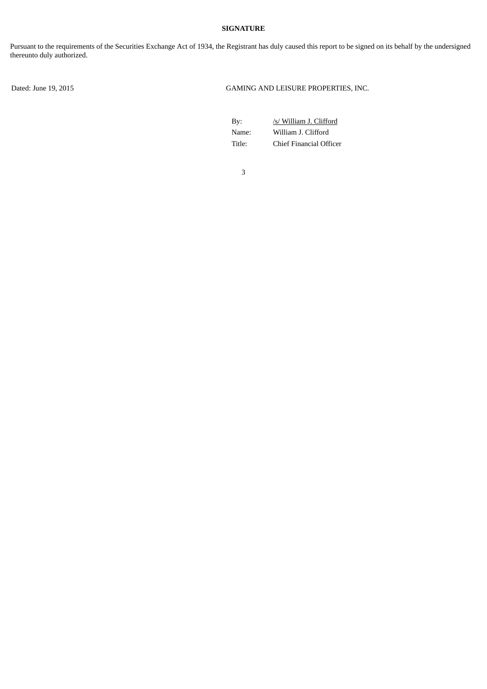#### **SIGNATURE**

Pursuant to the requirements of the Securities Exchange Act of 1934, the Registrant has duly caused this report to be signed on its behalf by the undersigned thereunto duly authorized.

Dated: June 19, 2015 GAMING AND LEISURE PROPERTIES, INC.

By: /s/ William J. Clifford Name: William J. Clifford Title: Chief Financial Officer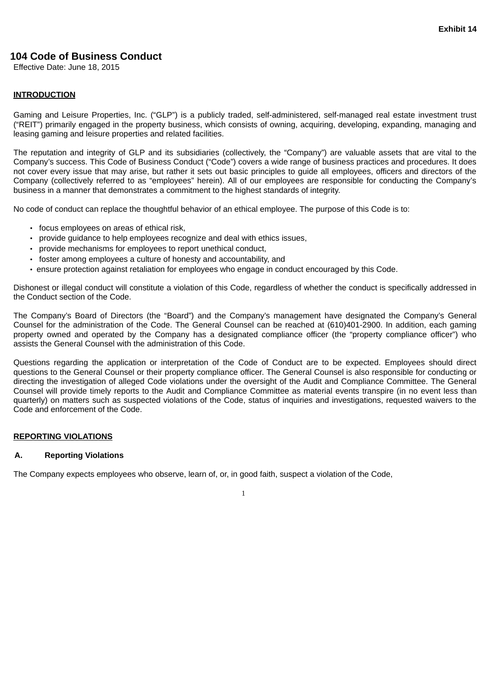# **104 Code of Business Conduct**

Effective Date: June 18, 2015

### **INTRODUCTION**

Gaming and Leisure Properties, Inc. ("GLP") is a publicly traded, self-administered, self-managed real estate investment trust ("REIT") primarily engaged in the property business, which consists of owning, acquiring, developing, expanding, managing and leasing gaming and leisure properties and related facilities.

The reputation and integrity of GLP and its subsidiaries (collectively, the "Company") are valuable assets that are vital to the Company's success. This Code of Business Conduct ("Code") covers a wide range of business practices and procedures. It does not cover every issue that may arise, but rather it sets out basic principles to guide all employees, officers and directors of the Company (collectively referred to as "employees" herein). All of our employees are responsible for conducting the Company's business in a manner that demonstrates a commitment to the highest standards of integrity.

No code of conduct can replace the thoughtful behavior of an ethical employee. The purpose of this Code is to:

- focus employees on areas of ethical risk,
- provide guidance to help employees recognize and deal with ethics issues,
- provide mechanisms for employees to report unethical conduct,
- foster among employees a culture of honesty and accountability, and
- ensure protection against retaliation for employees who engage in conduct encouraged by this Code.

Dishonest or illegal conduct will constitute a violation of this Code, regardless of whether the conduct is specifically addressed in the Conduct section of the Code.

The Company's Board of Directors (the "Board") and the Company's management have designated the Company's General Counsel for the administration of the Code. The General Counsel can be reached at (610)401-2900. In addition, each gaming property owned and operated by the Company has a designated compliance officer (the "property compliance officer") who assists the General Counsel with the administration of this Code.

Questions regarding the application or interpretation of the Code of Conduct are to be expected. Employees should direct questions to the General Counsel or their property compliance officer. The General Counsel is also responsible for conducting or directing the investigation of alleged Code violations under the oversight of the Audit and Compliance Committee. The General Counsel will provide timely reports to the Audit and Compliance Committee as material events transpire (in no event less than quarterly) on matters such as suspected violations of the Code, status of inquiries and investigations, requested waivers to the Code and enforcement of the Code.

#### **REPORTING VIOLATIONS**

#### **A. Reporting Violations**

The Company expects employees who observe, learn of, or, in good faith, suspect a violation of the Code,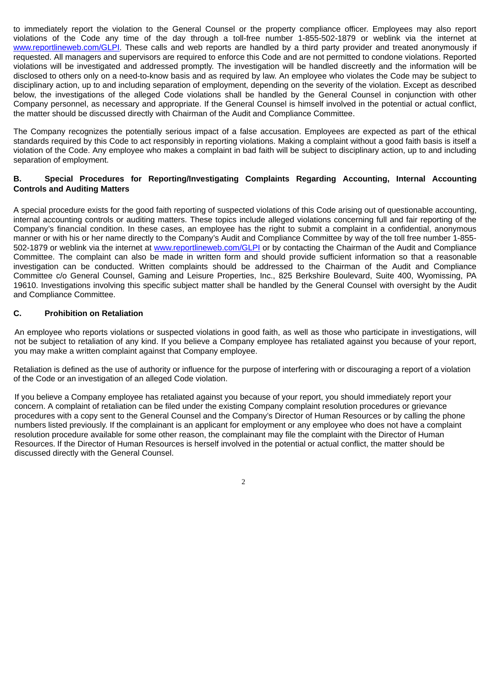to immediately report the violation to the General Counsel or the property compliance officer. Employees may also report violations of the Code any time of the day through a toll-free number 1-855-502-1879 or weblink via the internet at www.reportlineweb.com/GLPI. These calls and web reports are handled by a third party provider and treated anonymously if requested. All managers and supervisors are required to enforce this Code and are not permitted to condone violations. Reported violations will be investigated and addressed promptly. The investigation will be handled discreetly and the information will be disclosed to others only on a need-to-know basis and as required by law. An employee who violates the Code may be subject to disciplinary action, up to and including separation of employment, depending on the severity of the violation. Except as described below, the investigations of the alleged Code violations shall be handled by the General Counsel in conjunction with other Company personnel, as necessary and appropriate. If the General Counsel is himself involved in the potential or actual conflict, the matter should be discussed directly with Chairman of the Audit and Compliance Committee.

The Company recognizes the potentially serious impact of a false accusation. Employees are expected as part of the ethical standards required by this Code to act responsibly in reporting violations. Making a complaint without a good faith basis is itself a violation of the Code. Any employee who makes a complaint in bad faith will be subject to disciplinary action, up to and including separation of employment.

# **B. Special Procedures for Reporting/Investigating Complaints Regarding Accounting, Internal Accounting Controls and Auditing Matters**

A special procedure exists for the good faith reporting of suspected violations of this Code arising out of questionable accounting, internal accounting controls or auditing matters. These topics include alleged violations concerning full and fair reporting of the Company's financial condition. In these cases, an employee has the right to submit a complaint in a confidential, anonymous manner or with his or her name directly to the Company's Audit and Compliance Committee by way of the toll free number 1-855- 502-1879 or weblink via the internet at www.reportlineweb.com/GLPI or by contacting the Chairman of the Audit and Compliance Committee. The complaint can also be made in written form and should provide sufficient information so that a reasonable investigation can be conducted. Written complaints should be addressed to the Chairman of the Audit and Compliance Committee c/o General Counsel, Gaming and Leisure Properties, Inc., 825 Berkshire Boulevard, Suite 400, Wyomissing, PA 19610. Investigations involving this specific subject matter shall be handled by the General Counsel with oversight by the Audit and Compliance Committee.

# **C. Prohibition on Retaliation**

An employee who reports violations or suspected violations in good faith, as well as those who participate in investigations, will not be subject to retaliation of any kind. If you believe a Company employee has retaliated against you because of your report, you may make a written complaint against that Company employee.

Retaliation is defined as the use of authority or influence for the purpose of interfering with or discouraging a report of a violation of the Code or an investigation of an alleged Code violation.

If you believe a Company employee has retaliated against you because of your report, you should immediately report your concern. A complaint of retaliation can be filed under the existing Company complaint resolution procedures or grievance procedures with a copy sent to the General Counsel and the Company's Director of Human Resources or by calling the phone numbers listed previously. If the complainant is an applicant for employment or any employee who does not have a complaint resolution procedure available for some other reason, the complainant may file the complaint with the Director of Human Resources. If the Director of Human Resources is herself involved in the potential or actual conflict, the matter should be discussed directly with the General Counsel.

 $\overline{2}$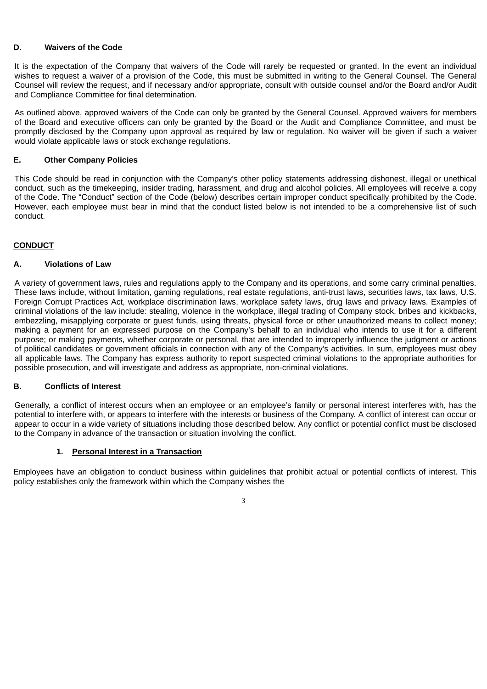### **D. Waivers of the Code**

It is the expectation of the Company that waivers of the Code will rarely be requested or granted. In the event an individual wishes to request a waiver of a provision of the Code, this must be submitted in writing to the General Counsel. The General Counsel will review the request, and if necessary and/or appropriate, consult with outside counsel and/or the Board and/or Audit and Compliance Committee for final determination.

As outlined above, approved waivers of the Code can only be granted by the General Counsel. Approved waivers for members of the Board and executive officers can only be granted by the Board or the Audit and Compliance Committee, and must be promptly disclosed by the Company upon approval as required by law or regulation. No waiver will be given if such a waiver would violate applicable laws or stock exchange regulations.

### **E. Other Company Policies**

This Code should be read in conjunction with the Company's other policy statements addressing dishonest, illegal or unethical conduct, such as the timekeeping, insider trading, harassment, and drug and alcohol policies. All employees will receive a copy of the Code. The "Conduct" section of the Code (below) describes certain improper conduct specifically prohibited by the Code. However, each employee must bear in mind that the conduct listed below is not intended to be a comprehensive list of such conduct.

### **CONDUCT**

#### **A. Violations of Law**

A variety of government laws, rules and regulations apply to the Company and its operations, and some carry criminal penalties. These laws include, without limitation, gaming regulations, real estate regulations, anti-trust laws, securities laws, tax laws, U.S. Foreign Corrupt Practices Act, workplace discrimination laws, workplace safety laws, drug laws and privacy laws. Examples of criminal violations of the law include: stealing, violence in the workplace, illegal trading of Company stock, bribes and kickbacks, embezzling, misapplying corporate or guest funds, using threats, physical force or other unauthorized means to collect money; making a payment for an expressed purpose on the Company's behalf to an individual who intends to use it for a different purpose; or making payments, whether corporate or personal, that are intended to improperly influence the judgment or actions of political candidates or government officials in connection with any of the Company's activities. In sum, employees must obey all applicable laws. The Company has express authority to report suspected criminal violations to the appropriate authorities for possible prosecution, and will investigate and address as appropriate, non-criminal violations.

#### **B. Conflicts of Interest**

Generally, a conflict of interest occurs when an employee or an employee's family or personal interest interferes with, has the potential to interfere with, or appears to interfere with the interests or business of the Company. A conflict of interest can occur or appear to occur in a wide variety of situations including those described below. Any conflict or potential conflict must be disclosed to the Company in advance of the transaction or situation involving the conflict.

#### **1. Personal Interest in a Transaction**

Employees have an obligation to conduct business within guidelines that prohibit actual or potential conflicts of interest. This policy establishes only the framework within which the Company wishes the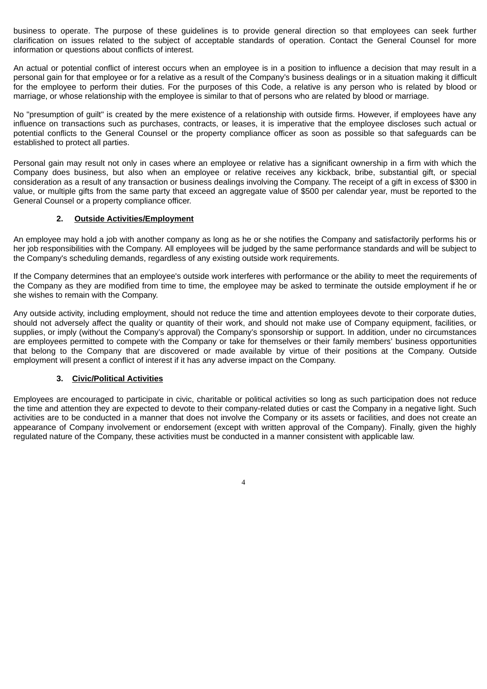business to operate. The purpose of these guidelines is to provide general direction so that employees can seek further clarification on issues related to the subject of acceptable standards of operation. Contact the General Counsel for more information or questions about conflicts of interest.

An actual or potential conflict of interest occurs when an employee is in a position to influence a decision that may result in a personal gain for that employee or for a relative as a result of the Company's business dealings or in a situation making it difficult for the employee to perform their duties. For the purposes of this Code, a relative is any person who is related by blood or marriage, or whose relationship with the employee is similar to that of persons who are related by blood or marriage.

No "presumption of guilt" is created by the mere existence of a relationship with outside firms. However, if employees have any influence on transactions such as purchases, contracts, or leases, it is imperative that the employee discloses such actual or potential conflicts to the General Counsel or the property compliance officer as soon as possible so that safeguards can be established to protect all parties.

Personal gain may result not only in cases where an employee or relative has a significant ownership in a firm with which the Company does business, but also when an employee or relative receives any kickback, bribe, substantial gift, or special consideration as a result of any transaction or business dealings involving the Company. The receipt of a gift in excess of \$300 in value, or multiple gifts from the same party that exceed an aggregate value of \$500 per calendar year, must be reported to the General Counsel or a property compliance officer.

### **2. Outside Activities/Employment**

An employee may hold a job with another company as long as he or she notifies the Company and satisfactorily performs his or her job responsibilities with the Company. All employees will be judged by the same performance standards and will be subject to the Company's scheduling demands, regardless of any existing outside work requirements.

If the Company determines that an employee's outside work interferes with performance or the ability to meet the requirements of the Company as they are modified from time to time, the employee may be asked to terminate the outside employment if he or she wishes to remain with the Company.

Any outside activity, including employment, should not reduce the time and attention employees devote to their corporate duties, should not adversely affect the quality or quantity of their work, and should not make use of Company equipment, facilities, or supplies, or imply (without the Company's approval) the Company's sponsorship or support. In addition, under no circumstances are employees permitted to compete with the Company or take for themselves or their family members' business opportunities that belong to the Company that are discovered or made available by virtue of their positions at the Company. Outside employment will present a conflict of interest if it has any adverse impact on the Company.

# **3. Civic/Political Activities**

Employees are encouraged to participate in civic, charitable or political activities so long as such participation does not reduce the time and attention they are expected to devote to their company-related duties or cast the Company in a negative light. Such activities are to be conducted in a manner that does not involve the Company or its assets or facilities, and does not create an appearance of Company involvement or endorsement (except with written approval of the Company). Finally, given the highly regulated nature of the Company, these activities must be conducted in a manner consistent with applicable law.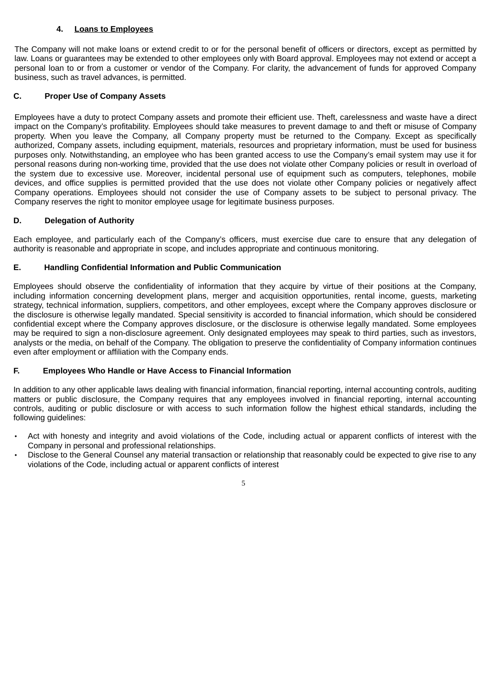# **4. Loans to Employees**

The Company will not make loans or extend credit to or for the personal benefit of officers or directors, except as permitted by law. Loans or guarantees may be extended to other employees only with Board approval. Employees may not extend or accept a personal loan to or from a customer or vendor of the Company. For clarity, the advancement of funds for approved Company business, such as travel advances, is permitted.

# **C. Proper Use of Company Assets**

Employees have a duty to protect Company assets and promote their efficient use. Theft, carelessness and waste have a direct impact on the Company's profitability. Employees should take measures to prevent damage to and theft or misuse of Company property. When you leave the Company, all Company property must be returned to the Company. Except as specifically authorized, Company assets, including equipment, materials, resources and proprietary information, must be used for business purposes only. Notwithstanding, an employee who has been granted access to use the Company's email system may use it for personal reasons during non-working time, provided that the use does not violate other Company policies or result in overload of the system due to excessive use. Moreover, incidental personal use of equipment such as computers, telephones, mobile devices, and office supplies is permitted provided that the use does not violate other Company policies or negatively affect Company operations. Employees should not consider the use of Company assets to be subject to personal privacy. The Company reserves the right to monitor employee usage for legitimate business purposes.

### **D. Delegation of Authority**

Each employee, and particularly each of the Company's officers, must exercise due care to ensure that any delegation of authority is reasonable and appropriate in scope, and includes appropriate and continuous monitoring.

### **E. Handling Confidential Information and Public Communication**

Employees should observe the confidentiality of information that they acquire by virtue of their positions at the Company, including information concerning development plans, merger and acquisition opportunities, rental income, guests, marketing strategy, technical information, suppliers, competitors, and other employees, except where the Company approves disclosure or the disclosure is otherwise legally mandated. Special sensitivity is accorded to financial information, which should be considered confidential except where the Company approves disclosure, or the disclosure is otherwise legally mandated. Some employees may be required to sign a non-disclosure agreement. Only designated employees may speak to third parties, such as investors, analysts or the media, on behalf of the Company. The obligation to preserve the confidentiality of Company information continues even after employment or affiliation with the Company ends.

#### **F. Employees Who Handle or Have Access to Financial Information**

In addition to any other applicable laws dealing with financial information, financial reporting, internal accounting controls, auditing matters or public disclosure, the Company requires that any employees involved in financial reporting, internal accounting controls, auditing or public disclosure or with access to such information follow the highest ethical standards, including the following guidelines:

- Act with honesty and integrity and avoid violations of the Code, including actual or apparent conflicts of interest with the Company in personal and professional relationships.
- Disclose to the General Counsel any material transaction or relationship that reasonably could be expected to give rise to any violations of the Code, including actual or apparent conflicts of interest